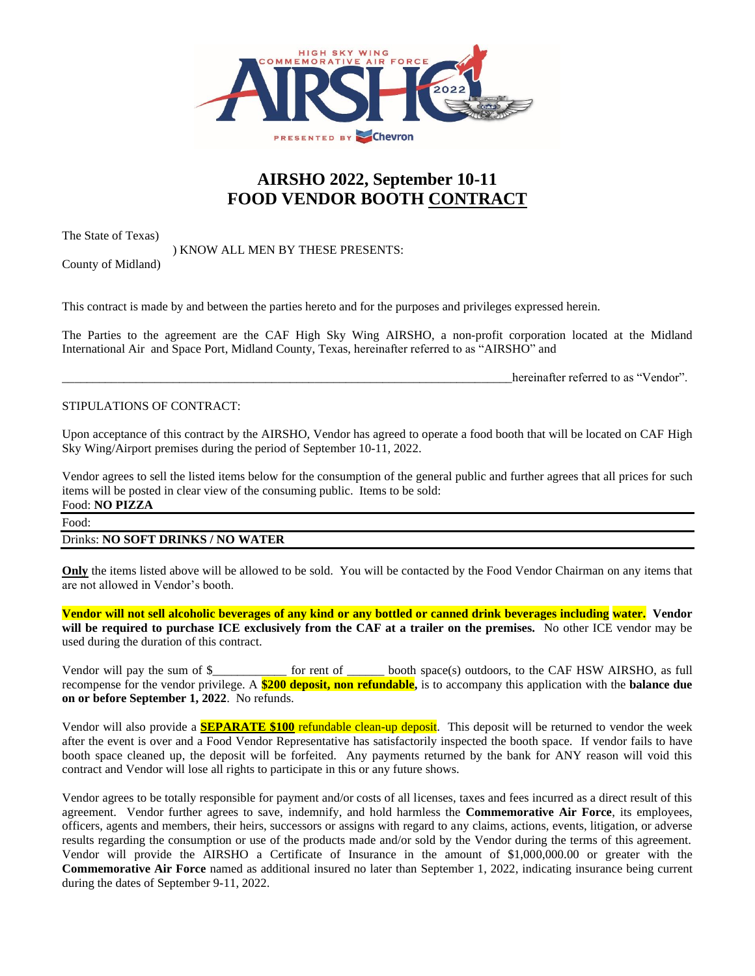

# **AIRSHO 2022, September 10-11 FOOD VENDOR BOOTH CONTRACT**

The State of Texas)

County of Midland)

) KNOW ALL MEN BY THESE PRESENTS:

The Parties to the agreement are the CAF High Sky Wing AIRSHO, a non-profit corporation located at the Midland International Air and Space Port, Midland County, Texas, hereinafter referred to as "AIRSHO" and

This contract is made by and between the parties hereto and for the purposes and privileges expressed herein.

hereinafter referred to as "Vendor".

### STIPULATIONS OF CONTRACT:

Upon acceptance of this contract by the AIRSHO, Vendor has agreed to operate a food booth that will be located on CAF High Sky Wing/Airport premises during the period of September 10-11, 2022.

Vendor agrees to sell the listed items below for the consumption of the general public and further agrees that all prices for such items will be posted in clear view of the consuming public. Items to be sold: Food: **NO PIZZA**

# Food:

### Drinks: **NO SOFT DRINKS / NO WATER**

**Only** the items listed above will be allowed to be sold. You will be contacted by the Food Vendor Chairman on any items that are not allowed in Vendor's booth.

**Vendor will not sell alcoholic beverages of any kind or any bottled or canned drink beverages including water. Vendor will be required to purchase ICE exclusively from the CAF at a trailer on the premises.** No other ICE vendor may be used during the duration of this contract.

Vendor will pay the sum of \$\_\_\_\_\_\_\_\_\_\_\_\_ for rent of \_\_\_\_\_\_ booth space(s) outdoors, to the CAF HSW AIRSHO, as full recompense for the vendor privilege. A **\$200 deposit, non refundable,** is to accompany this application with the **balance due on or before September 1, 2022**. No refunds.

Vendor will also provide a **SEPARATE \$100** refundable clean-up deposit. This deposit will be returned to vendor the week after the event is over and a Food Vendor Representative has satisfactorily inspected the booth space. If vendor fails to have booth space cleaned up, the deposit will be forfeited. Any payments returned by the bank for ANY reason will void this contract and Vendor will lose all rights to participate in this or any future shows.

Vendor agrees to be totally responsible for payment and/or costs of all licenses, taxes and fees incurred as a direct result of this agreement. Vendor further agrees to save, indemnify, and hold harmless the **Commemorative Air Force**, its employees, officers, agents and members, their heirs, successors or assigns with regard to any claims, actions, events, litigation, or adverse results regarding the consumption or use of the products made and/or sold by the Vendor during the terms of this agreement. Vendor will provide the AIRSHO a Certificate of Insurance in the amount of \$1,000,000.00 or greater with the **Commemorative Air Force** named as additional insured no later than September 1, 2022, indicating insurance being current during the dates of September 9-11, 2022.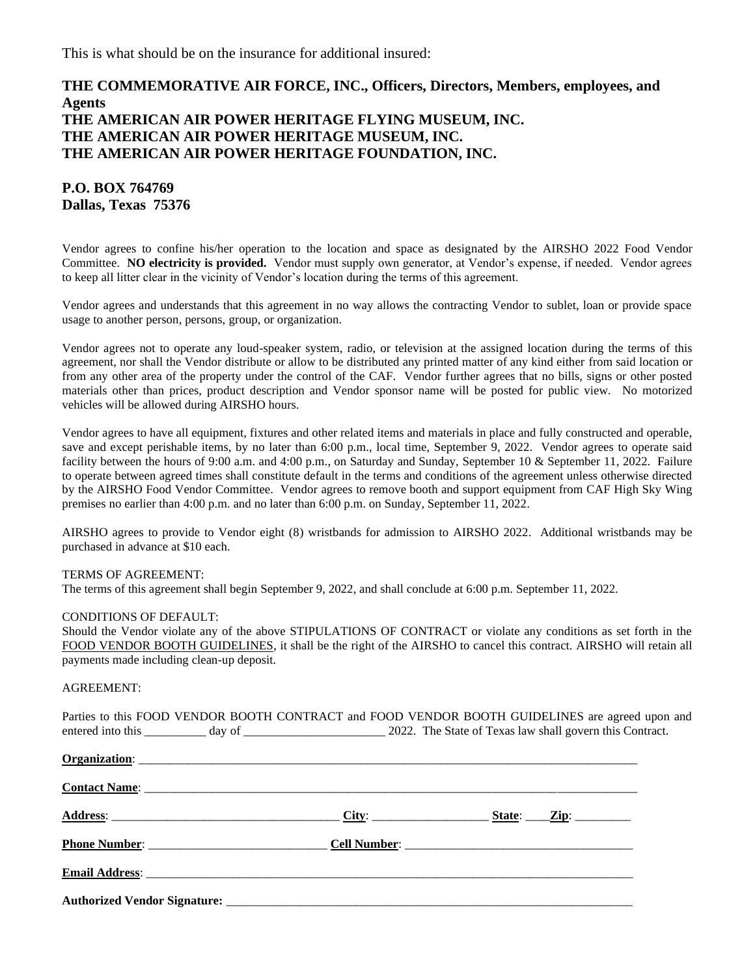This is what should be on the insurance for additional insured:

# **THE COMMEMORATIVE AIR FORCE, INC., Officers, Directors, Members, employees, and Agents THE AMERICAN AIR POWER HERITAGE FLYING MUSEUM, INC. THE AMERICAN AIR POWER HERITAGE MUSEUM, INC. THE AMERICAN AIR POWER HERITAGE FOUNDATION, INC.**

**P.O. BOX 764769 Dallas, Texas 75376**

Vendor agrees to confine his/her operation to the location and space as designated by the AIRSHO 2022 Food Vendor Committee. **NO electricity is provided.** Vendor must supply own generator, at Vendor's expense, if needed. Vendor agrees to keep all litter clear in the vicinity of Vendor's location during the terms of this agreement.

Vendor agrees and understands that this agreement in no way allows the contracting Vendor to sublet, loan or provide space usage to another person, persons, group, or organization.

Vendor agrees not to operate any loud-speaker system, radio, or television at the assigned location during the terms of this agreement, nor shall the Vendor distribute or allow to be distributed any printed matter of any kind either from said location or from any other area of the property under the control of the CAF. Vendor further agrees that no bills, signs or other posted materials other than prices, product description and Vendor sponsor name will be posted for public view. No motorized vehicles will be allowed during AIRSHO hours.

Vendor agrees to have all equipment, fixtures and other related items and materials in place and fully constructed and operable, save and except perishable items, by no later than 6:00 p.m., local time, September 9, 2022. Vendor agrees to operate said facility between the hours of 9:00 a.m. and 4:00 p.m., on Saturday and Sunday, September 10 & September 11, 2022. Failure to operate between agreed times shall constitute default in the terms and conditions of the agreement unless otherwise directed by the AIRSHO Food Vendor Committee. Vendor agrees to remove booth and support equipment from CAF High Sky Wing premises no earlier than 4:00 p.m. and no later than 6:00 p.m. on Sunday, September 11, 2022.

AIRSHO agrees to provide to Vendor eight (8) wristbands for admission to AIRSHO 2022. Additional wristbands may be purchased in advance at \$10 each.

### TERMS OF AGREEMENT:

The terms of this agreement shall begin September 9, 2022, and shall conclude at 6:00 p.m. September 11, 2022.

#### CONDITIONS OF DEFAULT:

Should the Vendor violate any of the above STIPULATIONS OF CONTRACT or violate any conditions as set forth in the FOOD VENDOR BOOTH GUIDELINES, it shall be the right of the AIRSHO to cancel this contract. AIRSHO will retain all payments made including clean-up deposit.

#### AGREEMENT:

Parties to this FOOD VENDOR BOOTH CONTRACT and FOOD VENDOR BOOTH GUIDELINES are agreed upon and entered into this \_\_\_\_\_\_\_\_ day of \_\_\_\_\_\_\_\_\_\_\_\_\_\_\_\_\_\_\_\_\_\_\_\_ 2022. The State of Texas law shall govern this Contract.

|                                                                                                                                                                                                                                      | State: $\angle$ Zip: |
|--------------------------------------------------------------------------------------------------------------------------------------------------------------------------------------------------------------------------------------|----------------------|
|                                                                                                                                                                                                                                      |                      |
| Email Address: <u>contract the contract of the contract of the contract of the contract of the contract of the contract of the contract of the contract of the contract of the contract of the contract of the contract of the c</u> |                      |
|                                                                                                                                                                                                                                      |                      |